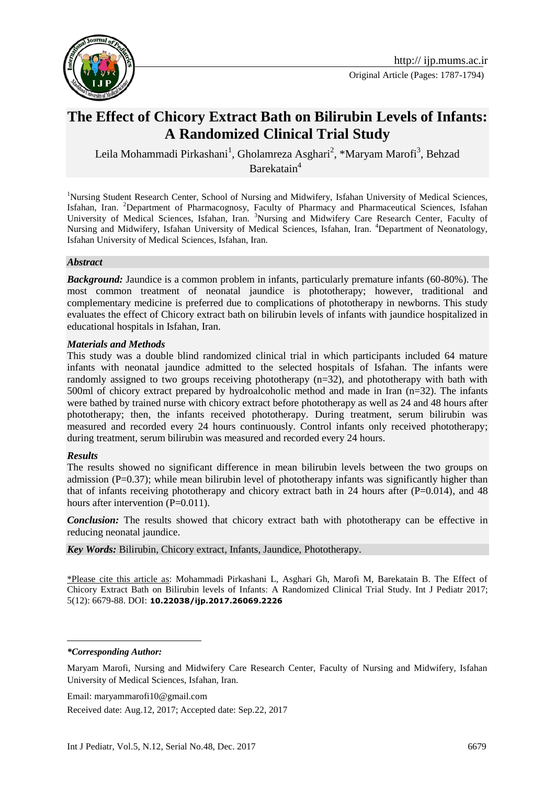

# **The Effect of Chicory Extract Bath on Bilirubin Levels of Infants: A Randomized Clinical Trial Study**

Leila Mohammadi Pirkashani<sup>1</sup>, Gholamreza Asghari<sup>2</sup>, \*Maryam Marofi<sup>3</sup>, Behzad Barekatain<sup>4</sup>

<sup>1</sup>Nursing Student Research Center, School of Nursing and Midwifery, Isfahan University of Medical Sciences, Isfahan, Iran. <sup>2</sup>Department of Pharmacognosy, Faculty of Pharmacy and Pharmaceutical Sciences, Isfahan University of Medical Sciences, Isfahan, Iran. <sup>3</sup>Nursing and Midwifery Care Research Center, Faculty of Nursing and Midwifery, Isfahan University of Medical Sciences, Isfahan, Iran. <sup>4</sup>Department of Neonatology, Isfahan University of Medical Sciences, Isfahan, Iran.

#### *Abstract*

*Background:* Jaundice is a common problem in infants, particularly premature infants (60-80%). The most common treatment of neonatal jaundice is phototherapy; however, traditional and complementary medicine is preferred due to complications of phototherapy in newborns. This study evaluates the effect of Chicory extract bath on bilirubin levels of infants with jaundice hospitalized in educational hospitals in Isfahan, Iran.

#### *Materials and Methods*

This study was a double blind randomized clinical trial in which participants included 64 mature infants with neonatal jaundice admitted to the selected hospitals of Isfahan. The infants were randomly assigned to two groups receiving phototherapy (n=32), and phototherapy with bath with 500ml of chicory extract prepared by hydroalcoholic method and made in Iran (n=32). The infants were bathed by trained nurse with chicory extract before phototherapy as well as 24 and 48 hours after phototherapy; then, the infants received phototherapy. During treatment, serum bilirubin was measured and recorded every 24 hours continuously. Control infants only received phototherapy; during treatment, serum bilirubin was measured and recorded every 24 hours.

#### *Results*

The results showed no significant difference in mean bilirubin levels between the two groups on admission (P=0.37); while mean bilirubin level of phototherapy infants was significantly higher than that of infants receiving phototherapy and chicory extract bath in 24 hours after  $(P=0.014)$ , and 48 hours after intervention (P=0.011).

*Conclusion:* The results showed that chicory extract bath with phototherapy can be effective in reducing neonatal jaundice.

*Key Words:* Bilirubin, Chicory extract, Infants, Jaundice, Phototherapy.

\*Please cite this article as: Mohammadi Pirkashani L, Asghari Gh, Marofi M, Barekatain B. The Effect of Chicory Extract Bath on Bilirubin levels of Infants: A Randomized Clinical Trial Study. Int J Pediatr 2017; 5(12): 6679-88. DOI: **10.22038/ijp.2017.26069.2226**

#### *\*Corresponding Author:*

<u>.</u>

Maryam Marofi, Nursing and Midwifery Care Research Center, Faculty of Nursing and Midwifery, Isfahan University of Medical Sciences, Isfahan, Iran.

Email: maryammarofi10@gmail.com

Received date: Aug.12, 2017; Accepted date: Sep.22, 2017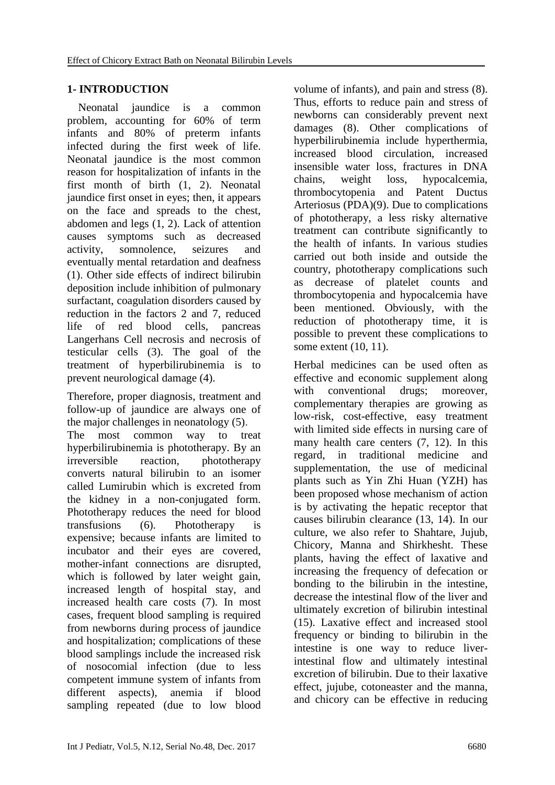## **1- INTRODUCTION**

 Neonatal jaundice is a common problem, accounting for 60% of term infants and 80% of preterm infants infected during the first week of life. Neonatal jaundice is the most common reason for hospitalization of infants in the first month of birth  $(1, 2)$ . Neonatal jaundice first onset in eyes; then, it appears on the face and spreads to the chest, abdomen and legs (1, 2). Lack of attention causes symptoms such as decreased activity, somnolence, seizures and eventually mental retardation and deafness (1). Other side effects of indirect bilirubin deposition include inhibition of pulmonary surfactant, coagulation disorders caused by reduction in the factors 2 and 7, reduced life of red blood cells, pancreas Langerhans Cell necrosis and necrosis of testicular cells (3). The goal of the treatment of hyperbilirubinemia is to prevent neurological damage (4).

Therefore, proper diagnosis, treatment and follow-up of jaundice are always one of the major challenges in neonatology (5). The most common way to treat hyperbilirubinemia is phototherapy. By an irreversible reaction, phototherapy converts natural bilirubin to an isomer called Lumirubin which is excreted from the kidney in a non-conjugated form. Phototherapy reduces the need for blood transfusions (6). Phototherapy is expensive; because infants are limited to incubator and their eyes are covered, mother-infant connections are disrupted, which is followed by later weight gain, increased length of hospital stay, and increased health care costs (7). In most cases, frequent blood sampling is required from newborns during process of jaundice and hospitalization; complications of these blood samplings include the increased risk of nosocomial infection (due to less competent immune system of infants from different aspects), anemia if blood sampling repeated (due to low blood

volume of infants), and pain and stress (8). Thus, efforts to reduce pain and stress of newborns can considerably prevent next damages (8). Other complications of hyperbilirubinemia include hyperthermia, increased blood circulation, increased insensible water loss, fractures in DNA chains, weight loss, hypocalcemia, thrombocytopenia and Patent Ductus Arteriosus (PDA)(9). Due to complications of phototherapy, a less risky alternative treatment can contribute significantly to the health of infants. In various studies carried out both inside and outside the country, phototherapy complications such as decrease of platelet counts and thrombocytopenia and hypocalcemia have been mentioned. Obviously, with the reduction of phototherapy time, it is possible to prevent these complications to some extent (10, 11).

Herbal medicines can be used often as effective and economic supplement along with conventional drugs; moreover, complementary therapies are growing as low-risk, cost-effective, easy treatment with limited side effects in nursing care of many health care centers (7, 12). In this regard, in traditional medicine and supplementation, the use of medicinal plants such as Yin Zhi Huan (YZH) has been proposed whose mechanism of action is by activating the hepatic receptor that causes bilirubin clearance (13, 14). In our culture, we also refer to Shahtare, Jujub, Chicory, Manna and Shirkhesht. These plants, having the effect of laxative and increasing the frequency of defecation or bonding to the bilirubin in the intestine, decrease the intestinal flow of the liver and ultimately excretion of bilirubin intestinal (15). Laxative effect and increased stool frequency or binding to bilirubin in the intestine is one way to reduce liverintestinal flow and ultimately intestinal excretion of bilirubin. Due to their laxative effect, jujube, cotoneaster and the manna, and chicory can be effective in reducing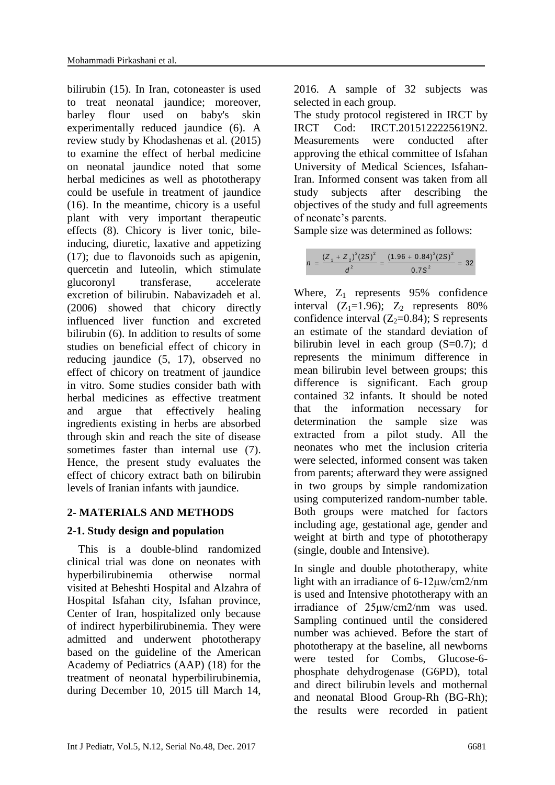bilirubin (15). In Iran, cotoneaster is used to treat neonatal jaundice; moreover, barley flour used on baby's skin experimentally reduced jaundice (6). A review study by Khodashenas et al. (2015) to examine the effect of herbal medicine on neonatal jaundice noted that some herbal medicines as well as phototherapy could be usefule in treatment of jaundice (16). In the meantime, chicory is a useful plant with very important therapeutic effects (8). Chicory is liver tonic, bileinducing, diuretic, laxative and appetizing (17); due to flavonoids such as apigenin, quercetin and luteolin, which stimulate glucoronyl transferase, accelerate excretion of bilirubin. Nabavizadeh et al. (2006) showed that chicory directly influenced liver function and excreted bilirubin (6). In addition to results of some studies on beneficial effect of chicory in reducing jaundice (5, 17), observed no effect of chicory on treatment of jaundice in vitro. Some studies consider bath with herbal medicines as effective treatment and argue that effectively healing ingredients existing in herbs are absorbed through skin and reach the site of disease sometimes faster than internal use (7). Hence, the present study evaluates the effect of chicory extract bath on bilirubin levels of Iranian infants with jaundice.

# **2- MATERIALS AND METHODS**

# **2-1. Study design and population**

 This is a double-blind randomized clinical trial was done on neonates with hyperbilirubinemia otherwise normal visited at Beheshti Hospital and Alzahra of Hospital Isfahan city, Isfahan province, Center of Iran, hospitalized only because of indirect hyperbilirubinemia. They were admitted and underwent phototherapy based on the guideline of the American Academy of Pediatrics (AAP) (18) for the treatment of neonatal hyperbilirubinemia, during December 10, 2015 till March 14,

2016. A sample of 32 subjects was selected in each group.

The study protocol registered in IRCT by IRCT Cod: IRCT.2015122225619N2. Measurements were conducted after approving the ethical committee of Isfahan University of Medical Sciences, Isfahan-Iran. Informed consent was taken from all study subjects after describing the objectives of the study and full agreements of neonate's parents.

Sample size was determined as follows:

|  | $(Z_1 + Z_2)^2 (2S)^2$ $(1.96 + 0.84)^2 (2S)^2$ |
|--|-------------------------------------------------|
|  | $0.7S^{-}$                                      |

Where,  $Z_1$  represents 95% confidence interval  $(Z_1=1.96)$ ;  $Z_2$  represents 80% confidence interval  $(Z_2=0.84)$ ; S represents an estimate of the standard deviation of bilirubin level in each group  $(S=0.7)$ ; d represents the minimum difference in mean bilirubin level between groups; this difference is significant. Each group contained 32 infants. It should be noted that the information necessary for determination the sample size was extracted from a pilot study. All the neonates who met the inclusion criteria were selected, informed consent was taken from parents; afterward they were assigned in two groups by simple randomization using computerized random-number table. Both groups were matched for factors including age, gestational age, gender and weight at birth and type of phototherapy (single, double and Intensive).

In single and double phototherapy, white light with an irradiance of 6-12μw/cm2/nm is used and Intensive phototherapy with an irradiance of 25μw/cm2/nm was used. Sampling continued until the considered number was achieved. Before the start of phototherapy at the baseline, all newborns were tested for Combs, Glucose-6 phosphate dehydrogenase (G6PD), total and direct bilirubin levels and mothernal and neonatal Blood Group-Rh (BG-Rh); the results were recorded in patient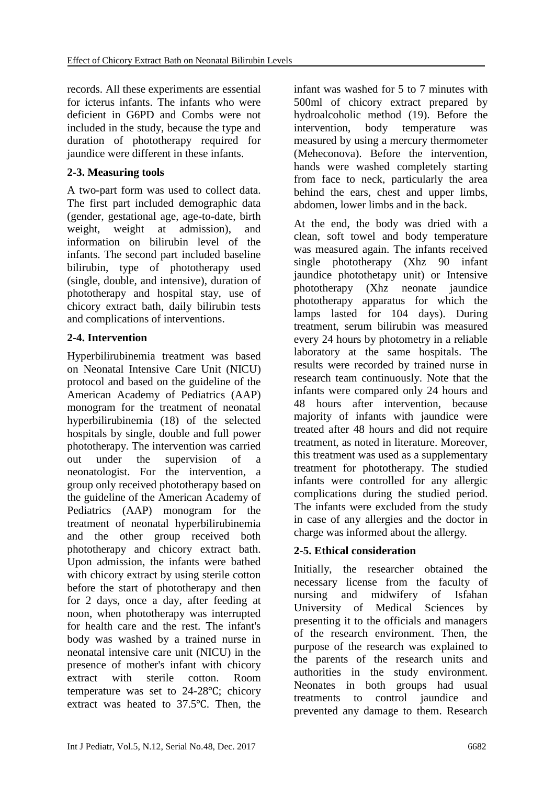records. All these experiments are essential for icterus infants. The infants who were deficient in G6PD and Combs were not included in the study, because the type and duration of phototherapy required for jaundice were different in these infants.

### **2-3. Measuring tools**

A two-part form was used to collect data. The first part included demographic data (gender, gestational age, age-to-date, birth weight, weight at admission), and information on bilirubin level of the infants. The second part included baseline bilirubin, type of phototherapy used (single, double, and intensive), duration of phototherapy and hospital stay, use of chicory extract bath, daily bilirubin tests and complications of interventions.

### **2-4. Intervention**

Hyperbilirubinemia treatment was based on Neonatal Intensive Care Unit (NICU) protocol and based on the guideline of the American Academy of Pediatrics (AAP) monogram for the treatment of neonatal hyperbilirubinemia (18) of the selected hospitals by single, double and full power phototherapy. The intervention was carried out under the supervision of a neonatologist. For the intervention, a group only received phototherapy based on the guideline of the American Academy of Pediatrics (AAP) monogram for the treatment of neonatal hyperbilirubinemia and the other group received both phototherapy and chicory extract bath. Upon admission, the infants were bathed with chicory extract by using sterile cotton before the start of phototherapy and then for 2 days, once a day, after feeding at noon, when phototherapy was interrupted for health care and the rest. The infant's body was washed by a trained nurse in neonatal intensive care unit (NICU) in the presence of mother's infant with chicory extract with sterile cotton. Room temperature was set to 24-28℃; chicory extract was heated to 37.5℃. Then, the

infant was washed for 5 to 7 minutes with 500ml of chicory extract prepared by hydroalcoholic method (19). Before the intervention, body temperature was measured by using a mercury thermometer (Meheconova). Before the intervention, hands were washed completely starting from face to neck, particularly the area behind the ears, chest and upper limbs, abdomen, lower limbs and in the back.

At the end, the body was dried with a clean, soft towel and body temperature was measured again. The infants received single phototherapy (Xhz 90 infant jaundice photothetapy unit) or Intensive phototherapy (Xhz neonate jaundice phototherapy apparatus for which the lamps lasted for 104 days). During treatment, serum bilirubin was measured every 24 hours by photometry in a reliable laboratory at the same hospitals. The results were recorded by trained nurse in research team continuously. Note that the infants were compared only 24 hours and 48 hours after intervention, because majority of infants with jaundice were treated after 48 hours and did not require treatment, as noted in literature. Moreover, this treatment was used as a supplementary treatment for phototherapy. The studied infants were controlled for any allergic complications during the studied period. The infants were excluded from the study in case of any allergies and the doctor in charge was informed about the allergy.

# **2-5. Ethical consideration**

Initially, the researcher obtained the necessary license from the faculty of nursing and midwifery of Isfahan University of Medical Sciences by presenting it to the officials and managers of the research environment. Then, the purpose of the research was explained to the parents of the research units and authorities in the study environment. Neonates in both groups had usual treatments to control jaundice and prevented any damage to them. Research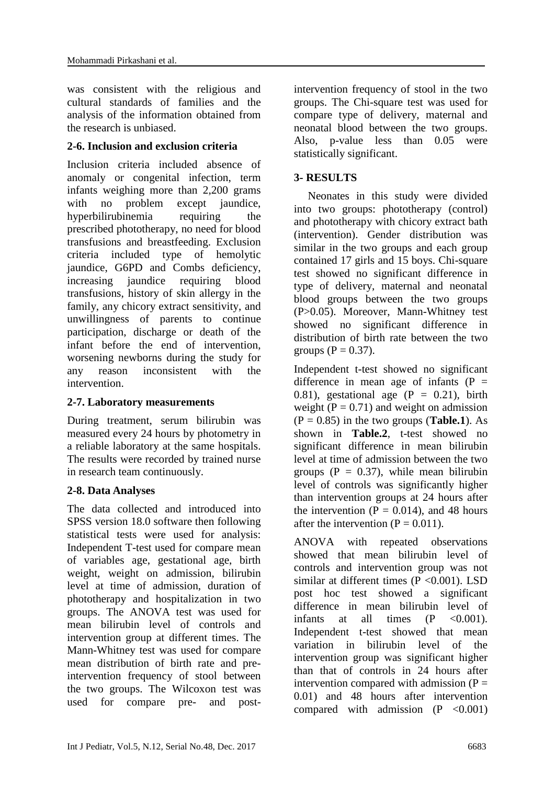was consistent with the religious and cultural standards of families and the analysis of the information obtained from the research is unbiased.

### **2-6. Inclusion and exclusion criteria**

Inclusion criteria included absence of anomaly or congenital infection, term infants weighing more than 2,200 grams with no problem except jaundice, hyperbilirubinemia requiring the prescribed phototherapy, no need for blood transfusions and breastfeeding. Exclusion criteria included type of hemolytic jaundice, G6PD and Combs deficiency, increasing jaundice requiring blood transfusions, history of skin allergy in the family, any chicory extract sensitivity, and unwillingness of parents to continue participation, discharge or death of the infant before the end of intervention, worsening newborns during the study for any reason inconsistent with the intervention.

### **2-7. Laboratory measurements**

During treatment, serum bilirubin was measured every 24 hours by photometry in a reliable laboratory at the same hospitals. The results were recorded by trained nurse in research team continuously.

# **2-8. Data Analyses**

The data collected and introduced into SPSS version 18.0 software then following statistical tests were used for analysis: Independent T-test used for compare mean of variables age, gestational age, birth weight, weight on admission, bilirubin level at time of admission, duration of phototherapy and hospitalization in two groups. The ANOVA test was used for mean bilirubin level of controls and intervention group at different times. The Mann-Whitney test was used for compare mean distribution of birth rate and preintervention frequency of stool between the two groups. The Wilcoxon test was used for compare pre- and postintervention frequency of stool in the two groups. The Chi-square test was used for compare type of delivery, maternal and neonatal blood between the two groups. Also, p-value less than 0.05 were statistically significant.

# **3- RESULTS**

 Neonates in this study were divided into two groups: phototherapy (control) and phototherapy with chicory extract bath (intervention). Gender distribution was similar in the two groups and each group contained 17 girls and 15 boys. Chi-square test showed no significant difference in type of delivery, maternal and neonatal blood groups between the two groups (P>0.05). Moreover, Mann-Whitney test showed no significant difference in distribution of birth rate between the two groups ( $P = 0.37$ ).

Independent t-test showed no significant difference in mean age of infants  $(P =$ 0.81), gestational age  $(P = 0.21)$ , birth weight ( $P = 0.71$ ) and weight on admission  $(P = 0.85)$  in the two groups (**Table.1**). As shown in **Table.2**, t-test showed no significant difference in mean bilirubin level at time of admission between the two groups  $(P = 0.37)$ , while mean bilirubin level of controls was significantly higher than intervention groups at 24 hours after the intervention ( $P = 0.014$ ), and 48 hours after the intervention  $(P = 0.011)$ .

ANOVA with repeated observations showed that mean bilirubin level of controls and intervention group was not similar at different times  $(P \le 0.001)$ . LSD post hoc test showed a significant difference in mean bilirubin level of infants at all times  $(P \leq 0.001)$ . Independent t-test showed that mean variation in bilirubin level of the intervention group was significant higher than that of controls in 24 hours after intervention compared with admission  $(P =$ 0.01) and 48 hours after intervention compared with admission  $(P \le 0.001)$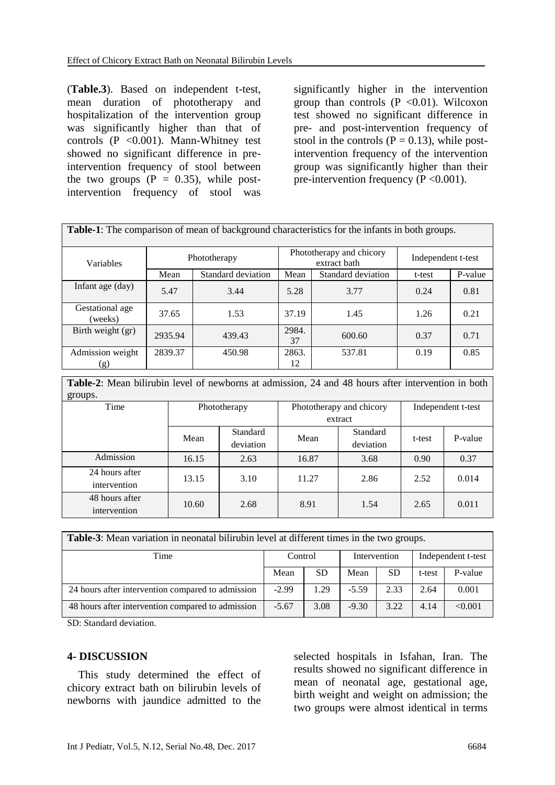(**Table.3**). Based on independent t-test, mean duration of phototherapy and hospitalization of the intervention group was significantly higher than that of controls (P < 0.001). Mann-Whitney test showed no significant difference in preintervention frequency of stool between the two groups  $(P = 0.35)$ , while postintervention frequency of stool was

significantly higher in the intervention group than controls  $(P \le 0.01)$ . Wilcoxon test showed no significant difference in pre- and post-intervention frequency of stool in the controls  $(P = 0.13)$ , while postintervention frequency of the intervention group was significantly higher than their pre-intervention frequency ( $P < 0.001$ ).

| <b>Table-1:</b> The comparison of mean of background characteristics for the infants in both groups. |              |                    |             |                                          |                    |         |  |  |  |
|------------------------------------------------------------------------------------------------------|--------------|--------------------|-------------|------------------------------------------|--------------------|---------|--|--|--|
|                                                                                                      |              |                    |             |                                          |                    |         |  |  |  |
| Variables                                                                                            | Phototherapy |                    |             | Phototherapy and chicory<br>extract bath | Independent t-test |         |  |  |  |
|                                                                                                      | Mean         | Standard deviation | Mean        | Standard deviation                       | t-test             | P-value |  |  |  |
| Infant age (day)                                                                                     | 5.47         | 3.44               | 5.28        | 3.77                                     | 0.24               | 0.81    |  |  |  |
| Gestational age<br>(weeks)                                                                           | 37.65        | 1.53               | 37.19       | 1.45                                     | 1.26               | 0.21    |  |  |  |
| Birth weight (gr)                                                                                    | 2935.94      | 439.43             | 2984.<br>37 | 600.60                                   | 0.37               | 0.71    |  |  |  |
| Admission weight<br>(g)                                                                              | 2839.37      | 450.98             | 2863.<br>12 | 537.81                                   | 0.19               | 0.85    |  |  |  |

**Table-2**: Mean bilirubin level of newborns at admission, 24 and 48 hours after intervention in both groups.

| Time                           | Phototherapy |                       |         | Phototherapy and chicory | Independent t-test |         |  |
|--------------------------------|--------------|-----------------------|---------|--------------------------|--------------------|---------|--|
|                                |              |                       | extract |                          |                    |         |  |
|                                | Mean         | Standard<br>deviation | Mean    | Standard<br>deviation    | t-test             | P-value |  |
| Admission                      | 16.15        | 2.63                  | 16.87   | 3.68                     | 0.90               | 0.37    |  |
| 24 hours after<br>intervention | 13.15        | 3.10                  | 11.27   | 2.86                     | 2.52               | 0.014   |  |
| 48 hours after<br>intervention | 10.60        | 2.68                  | 8.91    | 1.54                     | 2.65               | 0.011   |  |

| <b>Table-3:</b> Mean variation in neonatal bilirubin level at different times in the two groups. |         |           |              |           |                    |         |
|--------------------------------------------------------------------------------------------------|---------|-----------|--------------|-----------|--------------------|---------|
| Time                                                                                             | Control |           | Intervention |           | Independent t-test |         |
|                                                                                                  | Mean    | <b>SD</b> | Mean         | <b>SD</b> | t-test             | P-value |
| 24 hours after intervention compared to admission                                                | $-2.99$ | 1.29      | $-5.59$      | 2.33      | 2.64               | 0.001   |
| 48 hours after intervention compared to admission                                                | $-5.67$ | 3.08      | $-9.30$      | 3.22      | 4.14               | < 0.001 |

SD: Standard deviation.

#### **4- DISCUSSION**

 This study determined the effect of chicory extract bath on bilirubin levels of newborns with jaundice admitted to the

selected hospitals in Isfahan, Iran. The results showed no significant difference in mean of neonatal age, gestational age, birth weight and weight on admission; the two groups were almost identical in terms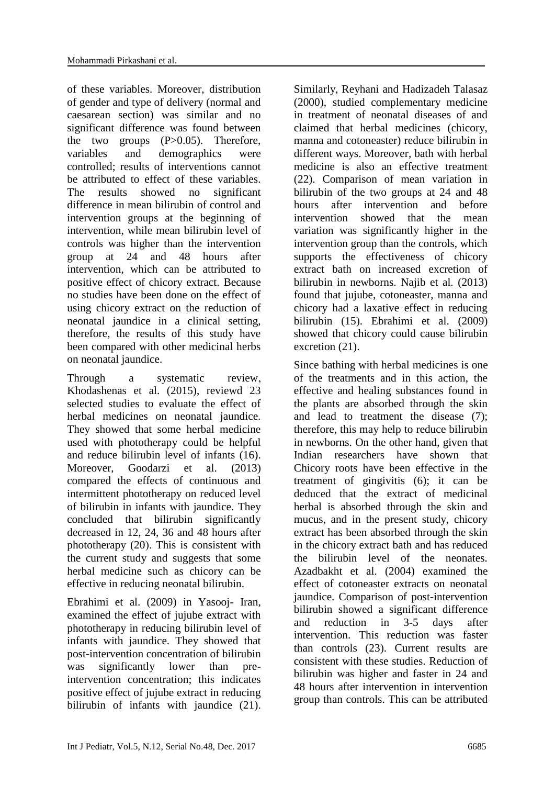of these variables. Moreover, distribution of gender and type of delivery (normal and caesarean section) was similar and no significant difference was found between the two groups  $(P>0.05)$ . Therefore, variables and demographics were controlled; results of interventions cannot be attributed to effect of these variables. The results showed no significant difference in mean bilirubin of control and intervention groups at the beginning of intervention, while mean bilirubin level of controls was higher than the intervention group at 24 and 48 hours after intervention, which can be attributed to positive effect of chicory extract. Because no studies have been done on the effect of using chicory extract on the reduction of neonatal jaundice in a clinical setting, therefore, the results of this study have been compared with other medicinal herbs on neonatal jaundice.

Through a systematic review, Khodashenas et al. (2015), reviewd 23 selected studies to evaluate the effect of herbal medicines on neonatal jaundice. They showed that some herbal medicine used with phototherapy could be helpful and reduce bilirubin level of infants (16). Moreover, Goodarzi et al. (2013) compared the effects of continuous and intermittent phototherapy on reduced level of bilirubin in infants with jaundice. They concluded that bilirubin significantly decreased in 12, 24, 36 and 48 hours after phototherapy  $(20)$ . This is consistent with the current study and suggests that some herbal medicine such as chicory can be effective in reducing neonatal bilirubin.

Ebrahimi et al. (2009) in Yasooj- Iran, examined the effect of jujube extract with phototherapy in reducing bilirubin level of infants with jaundice. They showed that post-intervention concentration of bilirubin was significantly lower than preintervention concentration; this indicates positive effect of jujube extract in reducing bilirubin of infants with jaundice (21). Similarly, Reyhani and Hadizadeh Talasaz (2000), studied complementary medicine in treatment of neonatal diseases of and claimed that herbal medicines (chicory, manna and cotoneaster) reduce bilirubin in different ways. Moreover, bath with herbal medicine is also an effective treatment (22). Comparison of mean variation in bilirubin of the two groups at 24 and 48 hours after intervention and before intervention showed that the mean variation was significantly higher in the intervention group than the controls, which supports the effectiveness of chicory extract bath on increased excretion of bilirubin in newborns. Najib et al. (2013) found that jujube, cotoneaster, manna and chicory had a laxative effect in reducing bilirubin (15). Ebrahimi et al. (2009) showed that chicory could cause bilirubin excretion (21).

Since bathing with herbal medicines is one of the treatments and in this action, the effective and healing substances found in the plants are absorbed through the skin and lead to treatment the disease (7); therefore, this may help to reduce bilirubin in newborns. On the other hand, given that Indian researchers have shown that Chicory roots have been effective in the treatment of gingivitis (6); it can be deduced that the extract of medicinal herbal is absorbed through the skin and mucus, and in the present study, chicory extract has been absorbed through the skin in the chicory extract bath and has reduced the bilirubin level of the neonates. Azadbakht et al. (2004) examined the effect of cotoneaster extracts on neonatal jaundice. Comparison of post-intervention bilirubin showed a significant difference and reduction in 3-5 days after intervention. This reduction was faster than controls (23). Current results are consistent with these studies. Reduction of bilirubin was higher and faster in 24 and 48 hours after intervention in intervention group than controls. This can be attributed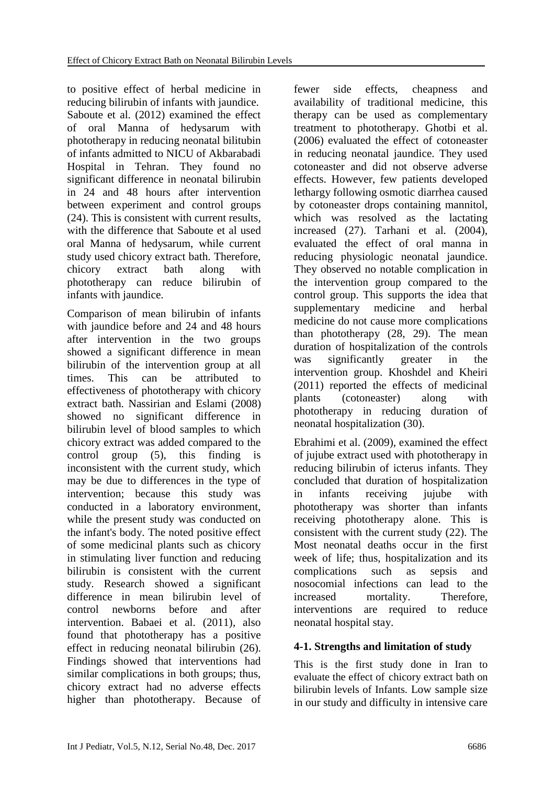to positive effect of herbal medicine in reducing bilirubin of infants with jaundice. Saboute et al. (2012) examined the effect of oral Manna of hedysarum with phototherapy in reducing neonatal bilitubin of infants admitted to NICU of Akbarabadi Hospital in Tehran. They found no significant difference in neonatal bilirubin in 24 and 48 hours after intervention between experiment and control groups (24). This is consistent with current results, with the difference that Saboute et al used oral Manna of hedysarum, while current study used chicory extract bath. Therefore, chicory extract bath along with phototherapy can reduce bilirubin of infants with jaundice.

Comparison of mean bilirubin of infants with jaundice before and 24 and 48 hours after intervention in the two groups showed a significant difference in mean bilirubin of the intervention group at all times. This can be attributed to effectiveness of phototherapy with chicory extract bath. Nassirian and Eslami (2008) showed no significant difference in bilirubin level of blood samples to which chicory extract was added compared to the control group (5), this finding is inconsistent with the current study, which may be due to differences in the type of intervention; because this study was conducted in a laboratory environment, while the present study was conducted on the infant's body. The noted positive effect of some medicinal plants such as chicory in stimulating liver function and reducing bilirubin is consistent with the current study. Research showed a significant difference in mean bilirubin level of control newborns before and after intervention. Babaei et al. (2011), also found that phototherapy has a positive effect in reducing neonatal bilirubin (26). Findings showed that interventions had similar complications in both groups; thus, chicory extract had no adverse effects higher than phototherapy. Because of

fewer side effects, cheapness and availability of traditional medicine, this therapy can be used as complementary treatment to phototherapy. Ghotbi et al. (2006) evaluated the effect of cotoneaster in reducing neonatal jaundice. They used cotoneaster and did not observe adverse effects. However, few patients developed lethargy following osmotic diarrhea caused by cotoneaster drops containing mannitol, which was resolved as the lactating increased (27). Tarhani et al. (2004), evaluated the effect of oral manna in reducing physiologic neonatal jaundice. They observed no notable complication in the intervention group compared to the control group. This supports the idea that supplementary medicine and herbal medicine do not cause more complications than phototherapy (28, 29). The mean duration of hospitalization of the controls was significantly greater in the intervention group. Khoshdel and Kheiri (2011) reported the effects of medicinal plants (cotoneaster) along with phototherapy in reducing duration of neonatal hospitalization (30).

Ebrahimi et al. (2009), examined the effect of jujube extract used with phototherapy in reducing bilirubin of icterus infants. They concluded that duration of hospitalization in infants receiving jujube with phototherapy was shorter than infants receiving phototherapy alone. This is consistent with the current study (22). The Most neonatal deaths occur in the first week of life; thus, hospitalization and its complications such as sepsis and nosocomial infections can lead to the increased mortality. Therefore, interventions are required to reduce neonatal hospital stay.

# **4-1. Strengths and limitation of study**

This is the first study done in Iran to evaluate the effect of chicory extract bath on bilirubin levels of Infants. Low sample size in our study and difficulty in intensive care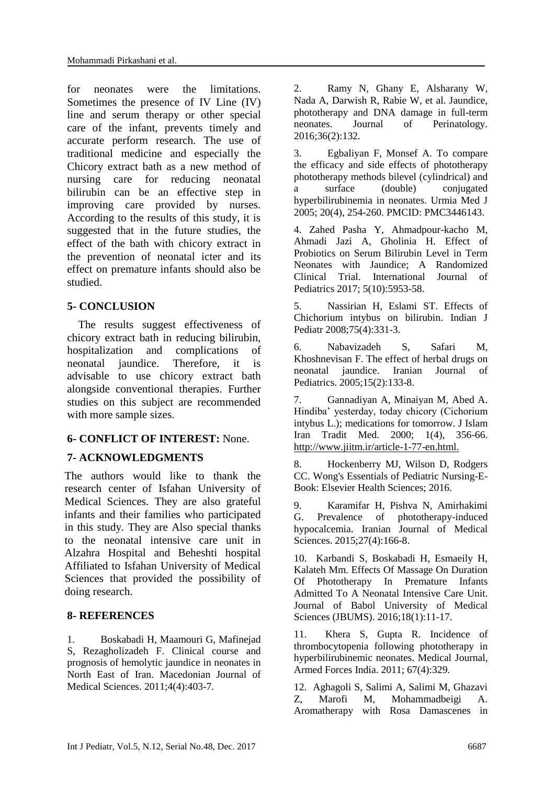for neonates were the limitations. Sometimes the presence of IV Line (IV) line and serum therapy or other special care of the infant, prevents timely and accurate perform research. The use of traditional medicine and especially the Chicory extract bath as a new method of nursing care for reducing neonatal bilirubin can be an effective step in improving care provided by nurses. According to the results of this study, it is suggested that in the future studies, the effect of the bath with chicory extract in the prevention of neonatal icter and its effect on premature infants should also be studied.

### **5- CONCLUSION**

 The results suggest effectiveness of chicory extract bath in reducing bilirubin, hospitalization and complications of neonatal jaundice. Therefore, it is advisable to use chicory extract bath alongside conventional therapies. Further studies on this subject are recommended with more sample sizes.

### **6- CONFLICT OF INTEREST:** None.

### **7- ACKNOWLEDGMENTS**

The authors would like to thank the research center of Isfahan University of Medical Sciences. They are also grateful infants and their families who participated in this study. They are Also special thanks to the neonatal intensive care unit in Alzahra Hospital and Beheshti hospital Affiliated to Isfahan University of Medical Sciences that provided the possibility of doing research.

#### **8- REFERENCES**

1. Boskabadi H, Maamouri G, Mafinejad S, Rezagholizadeh F. Clinical course and prognosis of hemolytic jaundice in neonates in North East of Iran. Macedonian Journal of Medical Sciences. 2011;4(4):403-7.

2. Ramy N, Ghany E, Alsharany W, Nada A, Darwish R, Rabie W, et al. Jaundice, phototherapy and DNA damage in full-term neonates. Journal of Perinatology. 2016;36(2):132.

3. Egbaliyan F, Monsef A. To compare the efficacy and side effects of phototherapy phototherapy methods bilevel (cylindrical) and a surface (double) conjugated hyperbilirubinemia in neonates. Urmia Med J 2005; 20(4), 254-260. PMCID: PMC3446143.

4. Zahed Pasha Y, Ahmadpour-kacho M, Ahmadi Jazi A, Gholinia H. Effect of Probiotics on Serum Bilirubin Level in Term Neonates with Jaundice; A Randomized Clinical Trial. International Journal of Pediatrics 2017; 5(10):5953-58.

5. Nassirian H, Eslami ST. Effects of Chichorium intybus on bilirubin. Indian J Pediatr 2008;75(4):331-3.

6. Nabavizadeh S, Safari M, Khoshnevisan F. The effect of herbal drugs on neonatal jaundice. Iranian Journal of Pediatrics. 2005;15(2):133-8.

7. Gannadiyan A, Minaiyan M, Abed A. Hindiba' yesterday, today chicory (Cichorium intybus L.); medications for tomorrow. J Islam Iran Tradit Med. 2000; 1(4), 356-66. http://www.jiitm.ir/article-1-77-en.html.

8. Hockenberry MJ, Wilson D, Rodgers CC. Wong's Essentials of Pediatric Nursing-E-Book: Elsevier Health Sciences; 2016.

9. Karamifar H, Pishva N, Amirhakimi G. Prevalence of phototherapy-induced hypocalcemia. Iranian Journal of Medical Sciences. 2015;27(4):166-8.

10. Karbandi S, Boskabadi H, Esmaeily H, Kalateh Mm. Effects Of Massage On Duration Of Phototherapy In Premature Infants Admitted To A Neonatal Intensive Care Unit. Journal of [Babol University of Medical](http://en.journals.sid.ir/JournalList.aspx?ID=3710)  Sciences [\(JBUMS\).](http://en.journals.sid.ir/JournalList.aspx?ID=3710) [2016;18\(1\):11-17.](http://en.journals.sid.ir/JournalListPaper.aspx?ID=221183) 

11. Khera S, Gupta R. Incidence of thrombocytopenia following phototherapy in hyperbilirubinemic neonates. Medical Journal, Armed Forces India. 2011; 67(4):329.

12. Aghagoli S, Salimi A, Salimi M, Ghazavi Z, Marofi M, Mohammadbeigi A. Aromatherapy with Rosa Damascenes in